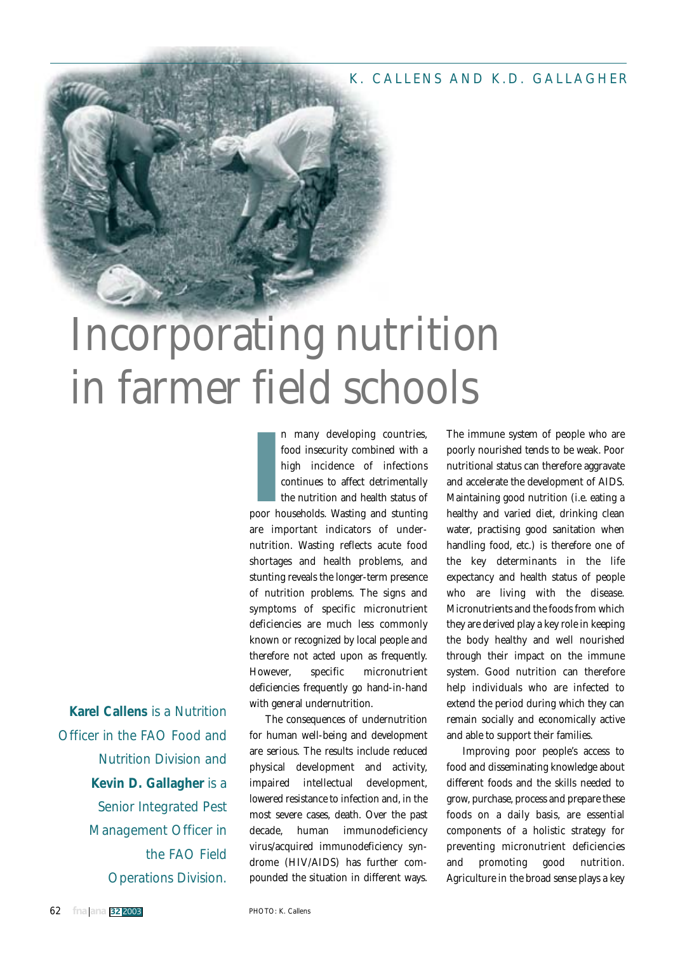#### K. CALLENS AND K.D. GALLAGHER

# Incorporating nutrition in farmer field schools

**Karel Callens** is a Nutrition Officer in the FAO Food and Nutrition Division and **Kevin D. Gallagher** is a Senior Integrated Pest Management Officer in the FAO Field Operations Division.

**II** many developing countries,<br>food insecurity combined with a<br>high incidence of infections<br>continues to affect detrimentally<br>the nutrition and health status of<br>poor households. Wasting and stunting n many developing countries, food insecurity combined with a high incidence of infections continues to affect detrimentally the nutrition and health status of are important indicators of undernutrition. Wasting reflects acute food shortages and health problems, and stunting reveals the longer-term presence of nutrition problems. The signs and symptoms of specific micronutrient deficiencies are much less commonly known or recognized by local people and therefore not acted upon as frequently. However, specific micronutrient deficiencies frequently go hand-in-hand with general undernutrition.

The consequences of undernutrition for human well-being and development are serious. The results include reduced physical development and activity, impaired intellectual development, lowered resistance to infection and, in the most severe cases, death. Over the past decade, human immunodeficiency virus/acquired immunodeficiency syndrome (HIV/AIDS) has further compounded the situation in different ways. The immune system of people who are poorly nourished tends to be weak. Poor nutritional status can therefore aggravate and accelerate the development of AIDS. Maintaining good nutrition (i.e. eating a healthy and varied diet, drinking clean water, practising good sanitation when handling food, etc.) is therefore one of the key determinants in the life expectancy and health status of people who are living with the disease. Micronutrients and the foods from which they are derived play a key role in keeping the body healthy and well nourished through their impact on the immune system. Good nutrition can therefore help individuals who are infected to extend the period during which they can remain socially and economically active and able to support their families.

Improving poor people's access to food and disseminating knowledge about different foods and the skills needed to grow, purchase, process and prepare these foods on a daily basis, are essential components of a holistic strategy for preventing micronutrient deficiencies and promoting good nutrition. Agriculture in the broad sense plays a key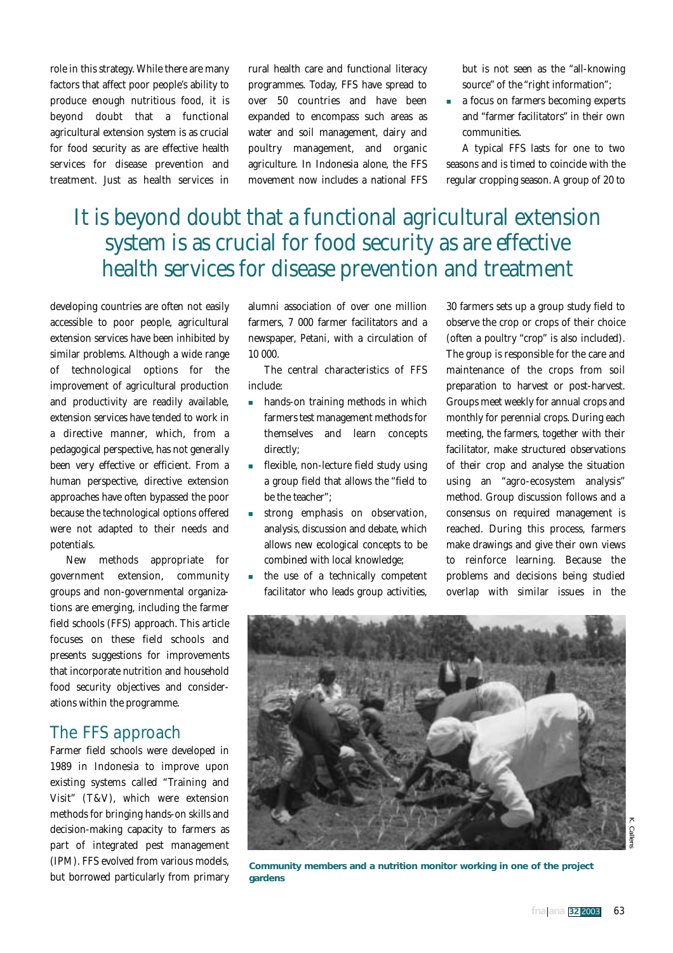role in this strategy. While there are many factors that affect poor people's ability to produce enough nutritious food, it is beyond doubt that a functional agricultural extension system is as crucial for food security as are effective health services for disease prevention and treatment. Just as health services in

rural health care and functional literacy programmes. Today, FFS have spread to over 50 countries and have been expanded to encompass such areas as water and soil management, dairy and poultry management, and organic agriculture. In Indonesia alone, the FFS movement now includes a national FFS

but is not seen as the "all-knowing source" of the "right information";

 a focus on farmers becoming experts and "farmer facilitators" in their own communities.

A typical FFS lasts for one to two seasons and is timed to coincide with the regular cropping season. A group of 20 to

# It is beyond doubt that a functional agricultural extension system is as crucial for food security as are effective health services for disease prevention and treatment

developing countries are often not easily accessible to poor people, agricultural extension services have been inhibited by similar problems. Although a wide range of technological options for the improvement of agricultural production and productivity are readily available, extension services have tended to work in a directive manner, which, from a pedagogical perspective, has not generally been very effective or efficient. From a human perspective, directive extension approaches have often bypassed the poor because the technological options offered were not adapted to their needs and potentials.

New methods appropriate for government extension, community groups and non-governmental organizations are emerging, including the farmer field schools (FFS) approach. This article focuses on these field schools and presents suggestions for improvements that incorporate nutrition and household food security objectives and considerations within the programme.

### The FFS approach

Farmer field schools were developed in 1989 in Indonesia to improve upon existing systems called "Training and Visit" (T&V), which were extension methods for bringing hands-on skills and decision-making capacity to farmers as part of integrated pest management (IPM). FFS evolved from various models, but borrowed particularly from primary alumni association of over one million farmers, 7 000 farmer facilitators and a newspaper, *Petani*, with a circulation of 10 000.

The central characteristics of FFS include:

- **hands-on training methods in which** farmers test management methods for themselves and learn concepts directly;
- flexible, non-lecture field study using a group field that allows the "field to be the teacher";
- strong emphasis on observation, analysis, discussion and debate, which allows new ecological concepts to be combined with local knowledge;
- the use of a technically competent facilitator who leads group activities,

30 farmers sets up a group study field to observe the crop or crops of their choice (often a poultry "crop" is also included). The group is responsible for the care and maintenance of the crops from soil preparation to harvest or post-harvest. Groups meet weekly for annual crops and monthly for perennial crops. During each meeting, the farmers, together with their facilitator, make structured observations of their crop and analyse the situation using an "agro-ecosystem analysis" method. Group discussion follows and a consensus on required management is reached. During this process, farmers make drawings and give their own views to reinforce learning. Because the problems and decisions being studied overlap with similar issues in the



**Community members and a nutrition monitor working in one of the project gardens**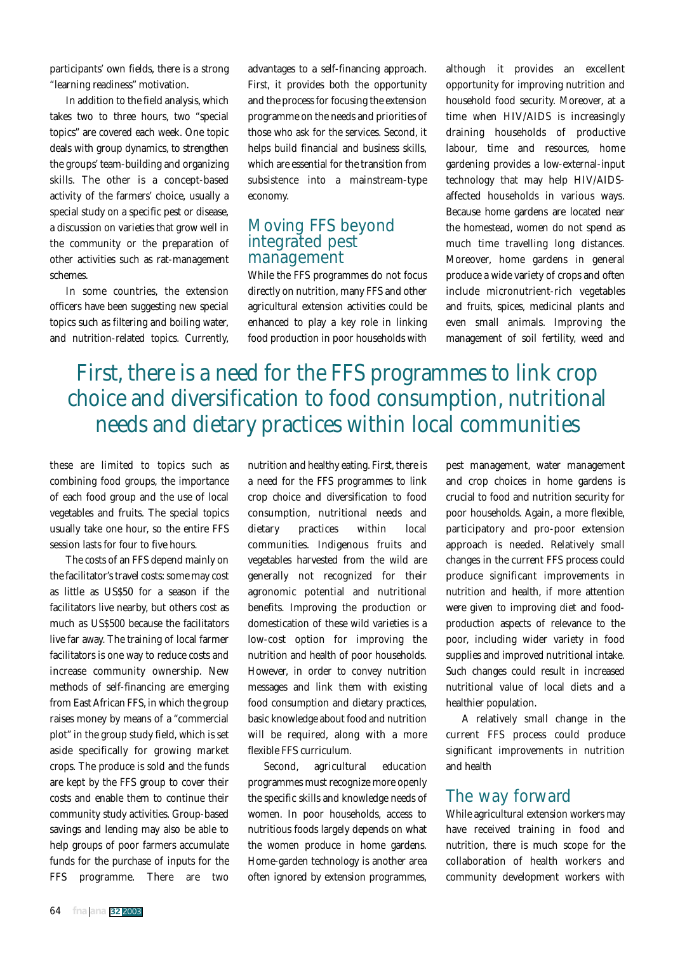participants' own fields, there is a strong "learning readiness" motivation.

In addition to the field analysis, which takes two to three hours, two "special topics" are covered each week. One topic deals with group dynamics, to strengthen the groups' team-building and organizing skills. The other is a concept-based activity of the farmers' choice, usually a special study on a specific pest or disease, a discussion on varieties that grow well in the community or the preparation of other activities such as rat-management schemes.

In some countries, the extension officers have been suggesting new special topics such as filtering and boiling water, and nutrition-related topics. Currently,

advantages to a self-financing approach. First, it provides both the opportunity and the process for focusing the extension programme on the needs and priorities of those who ask for the services. Second, it helps build financial and business skills, which are essential for the transition from subsistence into a mainstream-type economy.

#### Moving FFS beyond integrated pest management

While the FFS programmes do not focus directly on nutrition, many FFS and other agricultural extension activities could be enhanced to play a key role in linking food production in poor households with

although it provides an excellent opportunity for improving nutrition and household food security. Moreover, at a time when HIV/AIDS is increasingly draining households of productive labour, time and resources, home gardening provides a low-external-input technology that may help HIV/AIDSaffected households in various ways. Because home gardens are located near the homestead, women do not spend as much time travelling long distances. Moreover, home gardens in general produce a wide variety of crops and often include micronutrient-rich vegetables and fruits, spices, medicinal plants and even small animals. Improving the management of soil fertility, weed and

# First, there is a need for the FFS programmes to link crop choice and diversification to food consumption, nutritional needs and dietary practices within local communities

these are limited to topics such as combining food groups, the importance of each food group and the use of local vegetables and fruits. The special topics usually take one hour, so the entire FFS session lasts for four to five hours.

The costs of an FFS depend mainly on the facilitator's travel costs: some may cost as little as US\$50 for a season if the facilitators live nearby, but others cost as much as US\$500 because the facilitators live far away. The training of local farmer facilitators is one way to reduce costs and increase community ownership. New methods of self-financing are emerging from East African FFS, in which the group raises money by means of a "commercial plot" in the group study field, which is set aside specifically for growing market crops. The produce is sold and the funds are kept by the FFS group to cover their costs and enable them to continue their community study activities. Group-based savings and lending may also be able to help groups of poor farmers accumulate funds for the purchase of inputs for the FFS programme. There are two

nutrition and healthy eating. First, there is a need for the FFS programmes to link crop choice and diversification to food consumption, nutritional needs and dietary practices within local communities. Indigenous fruits and vegetables harvested from the wild are generally not recognized for their agronomic potential and nutritional benefits. Improving the production or domestication of these wild varieties is a low-cost option for improving the nutrition and health of poor households. However, in order to convey nutrition messages and link them with existing food consumption and dietary practices, basic knowledge about food and nutrition will be required, along with a more flexible FFS curriculum.

Second, agricultural education programmes must recognize more openly the specific skills and knowledge needs of women. In poor households, access to nutritious foods largely depends on what the women produce in home gardens. Home-garden technology is another area often ignored by extension programmes,

pest management, water management and crop choices in home gardens is crucial to food and nutrition security for poor households. Again, a more flexible, participatory and pro-poor extension approach is needed. Relatively small changes in the current FFS process could produce significant improvements in nutrition and health, if more attention were given to improving diet and foodproduction aspects of relevance to the poor, including wider variety in food supplies and improved nutritional intake. Such changes could result in increased nutritional value of local diets and a healthier population.

A relatively small change in the current FFS process could produce significant improvements in nutrition and health

#### The way forward

While agricultural extension workers may have received training in food and nutrition, there is much scope for the collaboration of health workers and community development workers with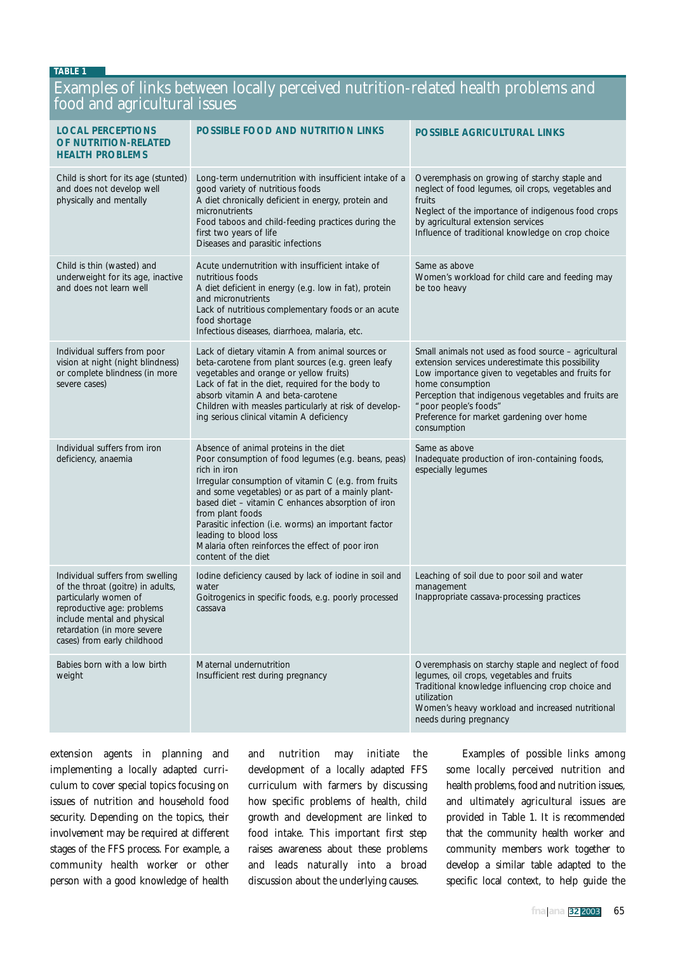#### **TABLE 1**

### Examples of links between locally perceived nutrition-related health problems and food and agricultural issues

| <b>LOCAL PERCEPTIONS</b><br>OF NUTRITION-RELATED<br><b>HEALTH PROBLEMS</b>                                                                                                                                                | <b>POSSIBLE FOOD AND NUTRITION LINKS</b>                                                                                                                                                                                                                                                                                                                                                                                                                          | POSSIBLE AGRICULTURAL LINKS                                                                                                                                                                                                                                                                                                     |
|---------------------------------------------------------------------------------------------------------------------------------------------------------------------------------------------------------------------------|-------------------------------------------------------------------------------------------------------------------------------------------------------------------------------------------------------------------------------------------------------------------------------------------------------------------------------------------------------------------------------------------------------------------------------------------------------------------|---------------------------------------------------------------------------------------------------------------------------------------------------------------------------------------------------------------------------------------------------------------------------------------------------------------------------------|
| Child is short for its age (stunted)<br>and does not develop well<br>physically and mentally                                                                                                                              | Long-term undernutrition with insufficient intake of a<br>good variety of nutritious foods<br>A diet chronically deficient in energy, protein and<br>micronutrients<br>Food taboos and child-feeding practices during the<br>first two years of life<br>Diseases and parasitic infections                                                                                                                                                                         | Overemphasis on growing of starchy staple and<br>neglect of food legumes, oil crops, vegetables and<br>fruits<br>Neglect of the importance of indigenous food crops<br>by agricultural extension services<br>Influence of traditional knowledge on crop choice                                                                  |
| Child is thin (wasted) and<br>underweight for its age, inactive<br>and does not learn well                                                                                                                                | Acute undernutrition with insufficient intake of<br>nutritious foods<br>A diet deficient in energy (e.g. low in fat), protein<br>and micronutrients<br>Lack of nutritious complementary foods or an acute<br>food shortage<br>Infectious diseases, diarrhoea, malaria, etc.                                                                                                                                                                                       | Same as above<br>Women's workload for child care and feeding may<br>be too heavy                                                                                                                                                                                                                                                |
| Individual suffers from poor<br>vision at night (night blindness)<br>or complete blindness (in more<br>severe cases)                                                                                                      | Lack of dietary vitamin A from animal sources or<br>beta-carotene from plant sources (e.g. green leafy<br>vegetables and orange or yellow fruits)<br>Lack of fat in the diet, required for the body to<br>absorb vitamin A and beta-carotene<br>Children with measles particularly at risk of develop-<br>ing serious clinical vitamin A deficiency                                                                                                               | Small animals not used as food source - agricultural<br>extension services underestimate this possibility<br>Low importance given to vegetables and fruits for<br>home consumption<br>Perception that indigenous vegetables and fruits are<br>"poor people's foods"<br>Preference for market gardening over home<br>consumption |
| Individual suffers from iron<br>deficiency, anaemia                                                                                                                                                                       | Absence of animal proteins in the diet<br>Poor consumption of food legumes (e.g. beans, peas)<br>rich in iron<br>Irregular consumption of vitamin C (e.g. from fruits<br>and some vegetables) or as part of a mainly plant-<br>based diet - vitamin C enhances absorption of iron<br>from plant foods<br>Parasitic infection (i.e. worms) an important factor<br>leading to blood loss<br>Malaria often reinforces the effect of poor iron<br>content of the diet | Same as above<br>Inadequate production of iron-containing foods,<br>especially lequmes                                                                                                                                                                                                                                          |
| Individual suffers from swelling<br>of the throat (goitre) in adults,<br>particularly women of<br>reproductive age: problems<br>include mental and physical<br>retardation (in more severe<br>cases) from early childhood | lodine deficiency caused by lack of iodine in soil and<br>water<br>Goitrogenics in specific foods, e.g. poorly processed<br>cassava                                                                                                                                                                                                                                                                                                                               | Leaching of soil due to poor soil and water<br>management<br>Inappropriate cassava-processing practices                                                                                                                                                                                                                         |
| Babies born with a low birth<br>weight                                                                                                                                                                                    | Maternal undernutrition<br>Insufficient rest during pregnancy                                                                                                                                                                                                                                                                                                                                                                                                     | Overemphasis on starchy staple and neglect of food<br>legumes, oil crops, vegetables and fruits<br>Traditional knowledge influencing crop choice and<br>utilization<br>Women's heavy workload and increased nutritional<br>needs during pregnancy                                                                               |

extension agents in planning and implementing a locally adapted curriculum to cover special topics focusing on issues of nutrition and household food security. Depending on the topics, their involvement may be required at different stages of the FFS process. For example, a community health worker or other person with a good knowledge of health

and nutrition may initiate the development of a locally adapted FFS curriculum with farmers by discussing how specific problems of health, child growth and development are linked to food intake. This important first step raises awareness about these problems and leads naturally into a broad discussion about the underlying causes.

Examples of possible links among some locally perceived nutrition and health problems, food and nutrition issues, and ultimately agricultural issues are provided in Table 1. It is recommended that the community health worker and community members work together to develop a similar table adapted to the specific local context, to help guide the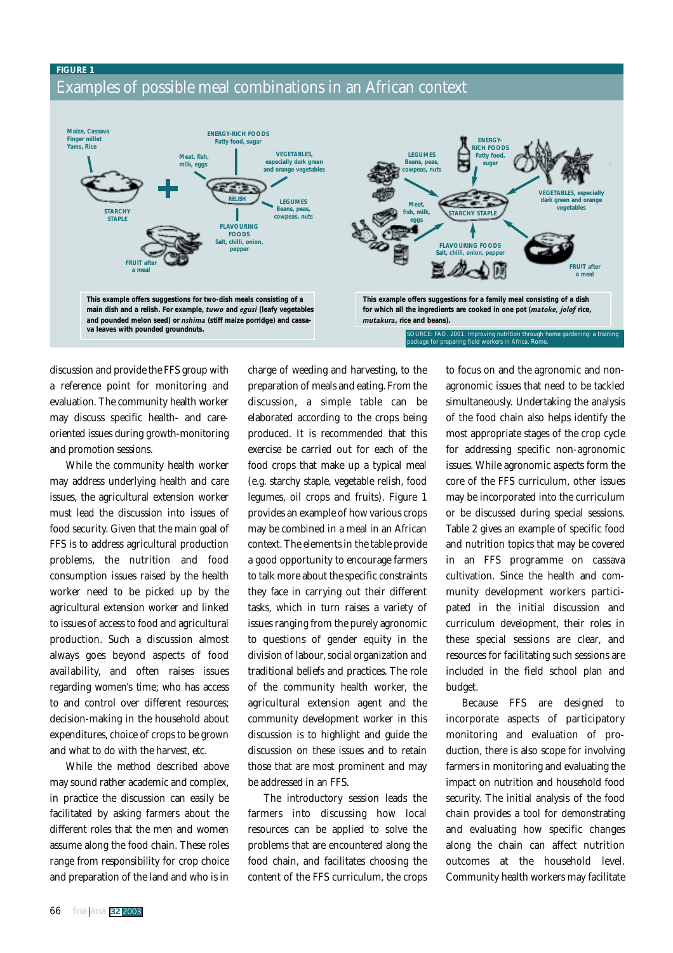#### **FIGURE 1** Examples of possible meal combinations in an African context



discussion and provide the FFS group with a reference point for monitoring and evaluation. The community health worker may discuss specific health- and careoriented issues during growth-monitoring and promotion sessions.

While the community health worker may address underlying health and care issues, the agricultural extension worker must lead the discussion into issues of food security. Given that the main goal of FFS is to address agricultural production problems, the nutrition and food consumption issues raised by the health worker need to be picked up by the agricultural extension worker and linked to issues of access to food and agricultural production. Such a discussion almost always goes beyond aspects of food availability, and often raises issues regarding women's time; who has access to and control over different resources; decision-making in the household about expenditures, choice of crops to be grown and what to do with the harvest, etc.

While the method described above may sound rather academic and complex, in practice the discussion can easily be facilitated by asking farmers about the different roles that the men and women assume along the food chain. These roles range from responsibility for crop choice and preparation of the land and who is in

charge of weeding and harvesting, to the preparation of meals and eating. From the discussion, a simple table can be elaborated according to the crops being produced. It is recommended that this exercise be carried out for each of the food crops that make up a typical meal (e.g. starchy staple, vegetable relish, food legumes, oil crops and fruits). Figure 1 provides an example of how various crops may be combined in a meal in an African context. The elements in the table provide a good opportunity to encourage farmers to talk more about the specific constraints they face in carrying out their different tasks, which in turn raises a variety of issues ranging from the purely agronomic to questions of gender equity in the division of labour, social organization and traditional beliefs and practices. The role of the community health worker, the agricultural extension agent and the community development worker in this discussion is to highlight and guide the discussion on these issues and to retain those that are most prominent and may be addressed in an FFS.

The introductory session leads the farmers into discussing how local resources can be applied to solve the problems that are encountered along the food chain, and facilitates choosing the content of the FFS curriculum, the crops

to focus on and the agronomic and nonagronomic issues that need to be tackled simultaneously. Undertaking the analysis of the food chain also helps identify the most appropriate stages of the crop cycle for addressing specific non-agronomic issues. While agronomic aspects form the core of the FFS curriculum, other issues may be incorporated into the curriculum or be discussed during special sessions. Table 2 gives an example of specific food and nutrition topics that may be covered in an FFS programme on cassava cultivation. Since the health and community development workers participated in the initial discussion and curriculum development, their roles in these special sessions are clear, and resources for facilitating such sessions are included in the field school plan and budget.

Because FFS are designed to incorporate aspects of participatory monitoring and evaluation of production, there is also scope for involving farmers in monitoring and evaluating the impact on nutrition and household food security. The initial analysis of the food chain provides a tool for demonstrating and evaluating how specific changes along the chain can affect nutrition outcomes at the household level. Community health workers may facilitate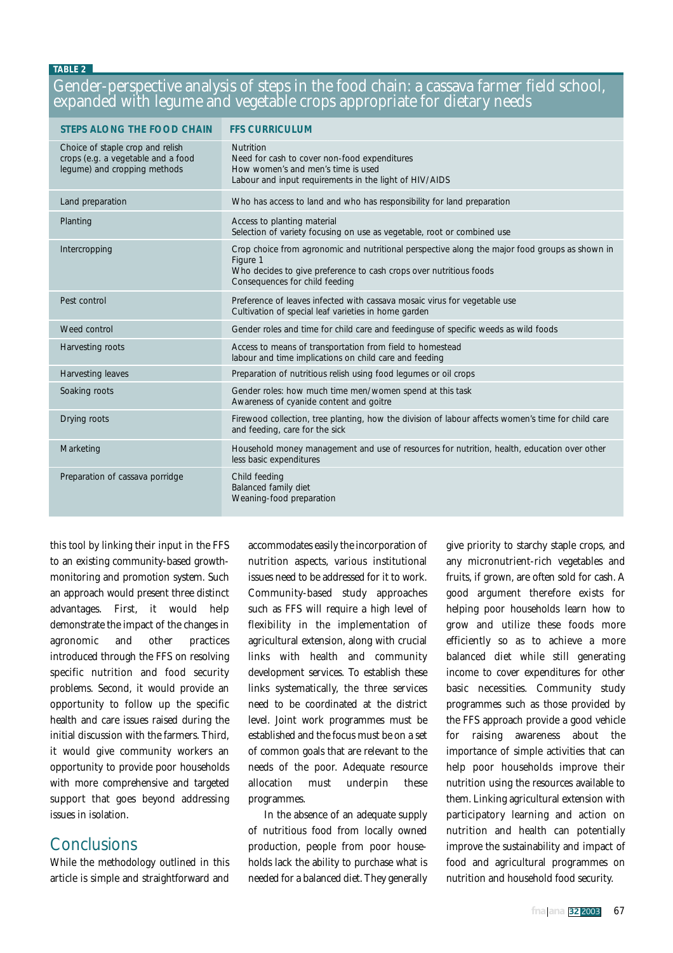#### **TABLE 2**

#### Gender-perspective analysis of steps in the food chain: a cassava farmer field school, expanded with legume and vegetable crops appropriate for dietary needs

| <b>STEPS ALONG THE FOOD CHAIN</b>                                                                      | <b>FFS CURRICULUM</b>                                                                                                                                                                                              |
|--------------------------------------------------------------------------------------------------------|--------------------------------------------------------------------------------------------------------------------------------------------------------------------------------------------------------------------|
| Choice of staple crop and relish<br>crops (e.g. a vegetable and a food<br>legume) and cropping methods | <b>Nutrition</b><br>Need for cash to cover non-food expenditures<br>How women's and men's time is used<br>Labour and input requirements in the light of HIV/AIDS                                                   |
| Land preparation                                                                                       | Who has access to land and who has responsibility for land preparation                                                                                                                                             |
| Planting                                                                                               | Access to planting material<br>Selection of variety focusing on use as vegetable, root or combined use                                                                                                             |
| Intercropping                                                                                          | Crop choice from agronomic and nutritional perspective along the major food groups as shown in<br>Figure 1<br>Who decides to give preference to cash crops over nutritious foods<br>Consequences for child feeding |
| Pest control                                                                                           | Preference of leaves infected with cassava mosaic virus for vegetable use<br>Cultivation of special leaf varieties in home garden                                                                                  |
| Weed control                                                                                           | Gender roles and time for child care and feedinguse of specific weeds as wild foods                                                                                                                                |
| Harvesting roots                                                                                       | Access to means of transportation from field to homestead<br>labour and time implications on child care and feeding                                                                                                |
| Harvesting leaves                                                                                      | Preparation of nutritious relish using food legumes or oil crops                                                                                                                                                   |
| Soaking roots                                                                                          | Gender roles: how much time men/women spend at this task<br>Awareness of cyanide content and goitre                                                                                                                |
| Drying roots                                                                                           | Firewood collection, tree planting, how the division of labour affects women's time for child care<br>and feeding, care for the sick                                                                               |
| Marketing                                                                                              | Household money management and use of resources for nutrition, health, education over other<br>less basic expenditures                                                                                             |
| Preparation of cassava porridge                                                                        | Child feeding<br>Balanced family diet<br>Weaning-food preparation                                                                                                                                                  |

this tool by linking their input in the FFS to an existing community-based growthmonitoring and promotion system. Such an approach would present three distinct advantages. First, it would help demonstrate the impact of the changes in agronomic and other practices introduced through the FFS on resolving specific nutrition and food security problems. Second, it would provide an opportunity to follow up the specific health and care issues raised during the initial discussion with the farmers. Third, it would give community workers an opportunity to provide poor households with more comprehensive and targeted support that goes beyond addressing issues in isolation.

#### **Conclusions**

While the methodology outlined in this article is simple and straightforward and

accommodates easily the incorporation of nutrition aspects, various institutional issues need to be addressed for it to work. Community-based study approaches such as FFS will require a high level of flexibility in the implementation of agricultural extension, along with crucial links with health and community development services. To establish these links systematically, the three services need to be coordinated at the district level. Joint work programmes must be established and the focus must be on a set of common goals that are relevant to the needs of the poor. Adequate resource allocation must underpin these programmes.

In the absence of an adequate supply of nutritious food from locally owned production, people from poor households lack the ability to purchase what is needed for a balanced diet. They generally

give priority to starchy staple crops, and any micronutrient-rich vegetables and fruits, if grown, are often sold for cash. A good argument therefore exists for helping poor households learn how to grow and utilize these foods more efficiently so as to achieve a more balanced diet while still generating income to cover expenditures for other basic necessities. Community study programmes such as those provided by the FFS approach provide a good vehicle for raising awareness about the importance of simple activities that can help poor households improve their nutrition using the resources available to them. Linking agricultural extension with participatory learning and action on nutrition and health can potentially improve the sustainability and impact of food and agricultural programmes on nutrition and household food security.